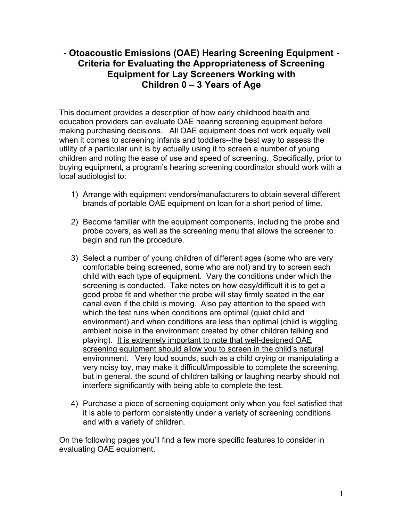# **- Otoacoustic Emissions (OAE) Hearing Screening Equipment - Criteria for Evaluating the Appropriateness of Screening Equipment for Lay Screeners Working with Children 0 – 3 Years of Age**

This document provides a description of how early childhood health and education providers can evaluate OAE hearing screening equipment before making purchasing decisions. All OAE equipment does not work equally well when it comes to screening infants and toddlers--the best way to assess the utility of a particular unit is by actually using it to screen a number of young children and noting the ease of use and speed of screening. Specifically, prior to buying equipment, a program's hearing screening coordinator should work with a local audiologist to:

- 1) Arrange with equipment vendors/manufacturers to obtain several different brands of portable OAE equipment on loan for a short period of time.
- 2) Become familiar with the equipment components, including the probe and probe covers, as well as the screening menu that allows the screener to begin and run the procedure.
- 3) Select a number of young children of different ages (some who are very comfortable being screened, some who are not) and try to screen each child with each type of equipment. Vary the conditions under which the screening is conducted. Take notes on how easy/difficult it is to get a good probe fit and whether the probe will stay firmly seated in the ear canal even if the child is moving. Also pay attention to the speed with which the test runs when conditions are optimal (quiet child and environment) and when conditions are less than optimal (child is wiggling, ambient noise in the environment created by other children talking and playing). It is extremely important to note that well-designed OAE screening equipment should allow you to screen in the child's natural environment. Very loud sounds, such as a child crying or manipulating a very noisy toy, may make it difficult/impossible to complete the screening, but in general, the sound of children talking or laughing nearby should not interfere significantly with being able to complete the test.
- 4) Purchase a piece of screening equipment only when you feel satisfied that it is able to perform consistently under a variety of screening conditions and with a variety of children.

On the following pages you'll find a few more specific features to consider in evaluating OAE equipment.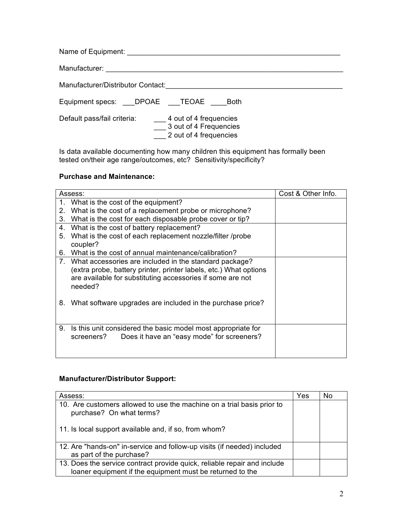| Name of Equipment: Name of Equipment:                                                                     |
|-----------------------------------------------------------------------------------------------------------|
| Manufacturer: 2008 Manufacturer:                                                                          |
| Manufacturer/Distributor Contact:                                                                         |
| Equipment specs: DPOAE TEOAE<br><b>Both</b>                                                               |
| Default pass/fail criteria:<br>4 out of 4 frequencies<br>3 out of 4 Frequencies<br>2 out of 4 frequencies |

Is data available documenting how many children this equipment has formally been tested on/their age range/outcomes, etc? Sensitivity/specificity?

#### **Purchase and Maintenance:**

|    | Assess:                                                                                                                                                                                                 | Cost & Other Info. |
|----|---------------------------------------------------------------------------------------------------------------------------------------------------------------------------------------------------------|--------------------|
|    | 1. What is the cost of the equipment?                                                                                                                                                                   |                    |
| 2. | What is the cost of a replacement probe or microphone?                                                                                                                                                  |                    |
| 3. | What is the cost for each disposable probe cover or tip?                                                                                                                                                |                    |
| 4. | What is the cost of battery replacement?                                                                                                                                                                |                    |
| 5. | What is the cost of each replacement nozzle/filter /probe<br>coupler?                                                                                                                                   |                    |
| 6. | What is the cost of annual maintenance/calibration?                                                                                                                                                     |                    |
|    | 7. What accessories are included in the standard package?<br>(extra probe, battery printer, printer labels, etc.) What options<br>are available for substituting accessories if some are not<br>needed? |                    |
| 8. | What software upgrades are included in the purchase price?                                                                                                                                              |                    |
| 9. | Is this unit considered the basic model most appropriate for<br>Does it have an "easy mode" for screeners?<br>screeners?                                                                                |                    |

### **Manufacturer/Distributor Support:**

| Assess:                                                                                                                               | Yes | No |
|---------------------------------------------------------------------------------------------------------------------------------------|-----|----|
| 10. Are customers allowed to use the machine on a trial basis prior to<br>purchase? On what terms?                                    |     |    |
| 11. Is local support available and, if so, from whom?                                                                                 |     |    |
| 12. Are "hands-on" in-service and follow-up visits (if needed) included<br>as part of the purchase?                                   |     |    |
| 13. Does the service contract provide quick, reliable repair and include<br>loaner equipment if the equipment must be returned to the |     |    |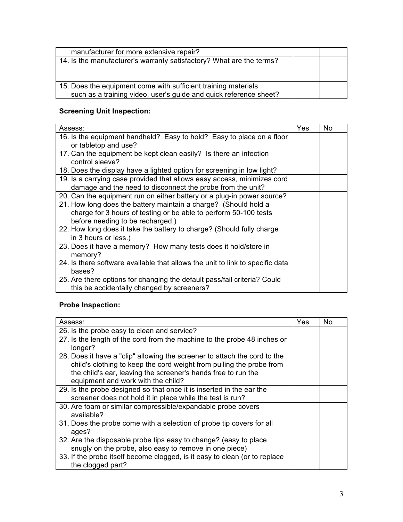| manufacturer for more extensive repair?                                                                                             |  |
|-------------------------------------------------------------------------------------------------------------------------------------|--|
| 14. Is the manufacturer's warranty satisfactory? What are the terms?                                                                |  |
| 15. Does the equipment come with sufficient training materials<br>such as a training video, user's guide and quick reference sheet? |  |

# **Screening Unit Inspection:**

| Assess:                                                                       | Yes | No. |
|-------------------------------------------------------------------------------|-----|-----|
| 16. Is the equipment handheld? Easy to hold? Easy to place on a floor         |     |     |
| or tabletop and use?                                                          |     |     |
| 17. Can the equipment be kept clean easily? Is there an infection             |     |     |
| control sleeve?                                                               |     |     |
| 18. Does the display have a lighted option for screening in low light?        |     |     |
| 19. Is a carrying case provided that allows easy access, minimizes cord       |     |     |
| damage and the need to disconnect the probe from the unit?                    |     |     |
| 20. Can the equipment run on either battery or a plug-in power source?        |     |     |
| 21. How long does the battery maintain a charge? (Should hold a               |     |     |
| charge for 3 hours of testing or be able to perform 50-100 tests              |     |     |
| before needing to be recharged.)                                              |     |     |
| 22. How long does it take the battery to charge? (Should fully charge         |     |     |
| in 3 hours or less.)                                                          |     |     |
| 23. Does it have a memory? How many tests does it hold/store in               |     |     |
| memory?                                                                       |     |     |
| 24. Is there software available that allows the unit to link to specific data |     |     |
| bases?                                                                        |     |     |
| 25. Are there options for changing the default pass/fail criteria? Could      |     |     |
| this be accidentally changed by screeners?                                    |     |     |

### **Probe Inspection:**

| Assess:                                                                                                                                                                                                                                                  | Yes | No. |
|----------------------------------------------------------------------------------------------------------------------------------------------------------------------------------------------------------------------------------------------------------|-----|-----|
| 26. Is the probe easy to clean and service?                                                                                                                                                                                                              |     |     |
| 27. Is the length of the cord from the machine to the probe 48 inches or<br>longer?                                                                                                                                                                      |     |     |
| 28. Does it have a "clip" allowing the screener to attach the cord to the<br>child's clothing to keep the cord weight from pulling the probe from<br>the child's ear, leaving the screener's hands free to run the<br>equipment and work with the child? |     |     |
| 29. Is the probe designed so that once it is inserted in the ear the<br>screener does not hold it in place while the test is run?                                                                                                                        |     |     |
| 30. Are foam or similar compressible/expandable probe covers<br>available?                                                                                                                                                                               |     |     |
| 31. Does the probe come with a selection of probe tip covers for all<br>ages?                                                                                                                                                                            |     |     |
| 32. Are the disposable probe tips easy to change? (easy to place<br>snugly on the probe, also easy to remove in one piece)                                                                                                                               |     |     |
| 33. If the probe itself become clogged, is it easy to clean (or to replace<br>the clogged part?                                                                                                                                                          |     |     |